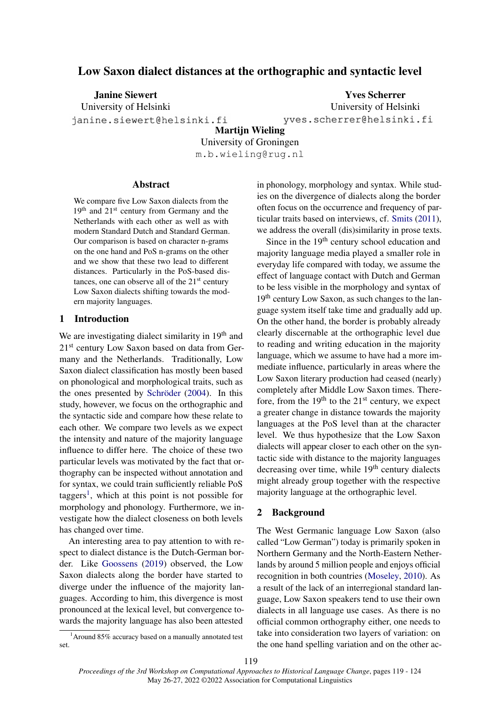# Low Saxon dialect distances at the orthographic and syntactic level

Janine Siewert

University of Helsinki

janine.siewert@helsinki.fi

Yves Scherrer University of Helsinki yves.scherrer@helsinki.fi

Martijn Wieling University of Groningen m.b.wieling@rug.nl

## **Abstract**

We compare five Low Saxon dialects from the 19<sup>th</sup> and 21<sup>st</sup> century from Germany and the Netherlands with each other as well as with modern Standard Dutch and Standard German. Our comparison is based on character n-grams on the one hand and PoS n-grams on the other and we show that these two lead to different distances. Particularly in the PoS-based distances, one can observe all of the  $21<sup>st</sup>$  century Low Saxon dialects shifting towards the modern majority languages.

## 1 Introduction

We are investigating dialect similarity in 19<sup>th</sup> and 21st century Low Saxon based on data from Germany and the Netherlands. Traditionally, Low Saxon dialect classification has mostly been based on phonological and morphological traits, such as the ones presented by [Schröder](#page-5-0) [\(2004\)](#page-5-0). In this study, however, we focus on the orthographic and the syntactic side and compare how these relate to each other. We compare two levels as we expect the intensity and nature of the majority language influence to differ here. The choice of these two particular levels was motivated by the fact that orthography can be inspected without annotation and for syntax, we could train sufficiently reliable PoS taggers<sup>[1](#page-0-0)</sup>, which at this point is not possible for morphology and phonology. Furthermore, we investigate how the dialect closeness on both levels has changed over time.

An interesting area to pay attention to with respect to dialect distance is the Dutch-German border. Like [Goossens](#page-4-0) [\(2019\)](#page-4-0) observed, the Low Saxon dialects along the border have started to diverge under the influence of the majority languages. According to him, this divergence is most pronounced at the lexical level, but convergence towards the majority language has also been attested

<span id="page-0-0"></span> $1$ Around 85% accuracy based on a manually annotated test set.

in phonology, morphology and syntax. While studies on the divergence of dialects along the border often focus on the occurrence and frequency of particular traits based on interviews, cf. [Smits](#page-5-1) [\(2011\)](#page-5-1), we address the overall (dis)similarity in prose texts.

Since in the 19<sup>th</sup> century school education and majority language media played a smaller role in everyday life compared with today, we assume the effect of language contact with Dutch and German to be less visible in the morphology and syntax of 19th century Low Saxon, as such changes to the language system itself take time and gradually add up. On the other hand, the border is probably already clearly discernable at the orthographic level due to reading and writing education in the majority language, which we assume to have had a more immediate influence, particularly in areas where the Low Saxon literary production had ceased (nearly) completely after Middle Low Saxon times. Therefore, from the  $19<sup>th</sup>$  to the  $21<sup>st</sup>$  century, we expect a greater change in distance towards the majority languages at the PoS level than at the character level. We thus hypothesize that the Low Saxon dialects will appear closer to each other on the syntactic side with distance to the majority languages decreasing over time, while  $19<sup>th</sup>$  century dialects might already group together with the respective majority language at the orthographic level.

## 2 Background

The West Germanic language Low Saxon (also called "Low German") today is primarily spoken in Northern Germany and the North-Eastern Netherlands by around 5 million people and enjoys official recognition in both countries [\(Moseley,](#page-4-1) [2010\)](#page-4-1). As a result of the lack of an interregional standard language, Low Saxon speakers tend to use their own dialects in all language use cases. As there is no official common orthography either, one needs to take into consideration two layers of variation: on the one hand spelling variation and on the other ac-

*Proceedings of the 3rd Workshop on Computational Approaches to Historical Language Change*, pages 119 - 124

May 26-27, 2022 ©2022 Association for Computational Linguistics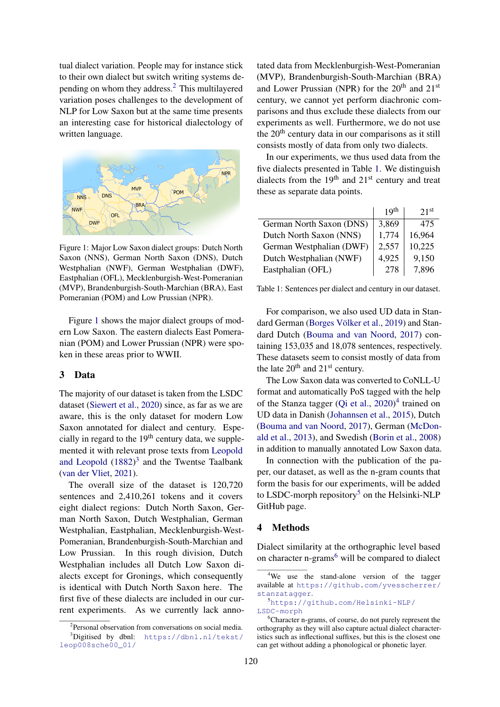tual dialect variation. People may for instance stick to their own dialect but switch writing systems depending on whom they address.[2](#page-1-0) This multilayered variation poses challenges to the development of NLP for Low Saxon but at the same time presents an interesting case for historical dialectology of written language.

<span id="page-1-1"></span>

Figure 1: Major Low Saxon dialect groups: Dutch North Saxon (NNS), German North Saxon (DNS), Dutch Westphalian (NWF), German Westphalian (DWF), Eastphalian (OFL), Mecklenburgish-West-Pomeranian (MVP), Brandenburgish-South-Marchian (BRA), East Pomeranian (POM) and Low Prussian (NPR).

Figure [1](#page-1-1) shows the major dialect groups of modern Low Saxon. The eastern dialects East Pomeranian (POM) and Lower Prussian (NPR) were spoken in these areas prior to WWII.

## 3 Data

The majority of our dataset is taken from the LSDC dataset [\(Siewert et al.,](#page-5-2) [2020\)](#page-5-2) since, as far as we are aware, this is the only dataset for modern Low Saxon annotated for dialect and century. Especially in regard to the  $19<sup>th</sup>$  century data, we supplemented it with relevant prose texts from [Leopold](#page-4-2) [and Leopold](#page-4-2)  $(1882)^3$  $(1882)^3$  $(1882)^3$  and the Twentse Taalbank [\(van der Vliet,](#page-5-3) [2021\)](#page-5-3).

The overall size of the dataset is 120,720 sentences and 2,410,261 tokens and it covers eight dialect regions: Dutch North Saxon, German North Saxon, Dutch Westphalian, German Westphalian, Eastphalian, Mecklenburgish-West-Pomeranian, Brandenburgish-South-Marchian and Low Prussian. In this rough division, Dutch Westphalian includes all Dutch Low Saxon dialects except for Gronings, which consequently is identical with Dutch North Saxon here. The first five of these dialects are included in our current experiments. As we currently lack anno-

tated data from Mecklenburgish-West-Pomeranian (MVP), Brandenburgish-South-Marchian (BRA) and Lower Prussian (NPR) for the  $20<sup>th</sup>$  and  $21<sup>st</sup>$ century, we cannot yet perform diachronic comparisons and thus exclude these dialects from our experiments as well. Furthermore, we do not use the 20<sup>th</sup> century data in our comparisons as it still consists mostly of data from only two dialects.

In our experiments, we thus used data from the five dialects presented in Table [1.](#page-1-3) We distinguish dialects from the  $19<sup>th</sup>$  and  $21<sup>st</sup>$  century and treat these as separate data points.

<span id="page-1-3"></span>

|                          | 19 <sup>th</sup> | 21 <sup>st</sup> |
|--------------------------|------------------|------------------|
| German North Saxon (DNS) | 3,869            | 475              |
| Dutch North Saxon (NNS)  | 1,774            | 16,964           |
| German Westphalian (DWF) | 2,557            | 10,225           |
| Dutch Westphalian (NWF)  | 4,925            | 9,150            |
| Eastphalian (OFL)        | 278              | 7,896            |

Table 1: Sentences per dialect and century in our dataset.

For comparison, we also used UD data in Standard German [\(Borges Völker et al.,](#page-4-3) [2019\)](#page-4-3) and Standard Dutch [\(Bouma and van Noord,](#page-4-4) [2017\)](#page-4-4) containing 153,035 and 18,078 sentences, respectively. These datasets seem to consist mostly of data from the late  $20^{th}$  and  $21^{st}$  century.

The Low Saxon data was converted to CoNLL-U format and automatically PoS tagged with the help of the Stanza tagger [\(Qi et al.,](#page-4-5) [2020\)](#page-4-5) [4](#page-1-4) trained on UD data in Danish [\(Johannsen et al.,](#page-4-6) [2015\)](#page-4-6), Dutch [\(Bouma and van Noord,](#page-4-4) [2017\)](#page-4-4), German [\(McDon](#page-4-7)[ald et al.,](#page-4-7) [2013\)](#page-4-7), and Swedish [\(Borin et al.,](#page-4-8) [2008\)](#page-4-8) in addition to manually annotated Low Saxon data.

In connection with the publication of the paper, our dataset, as well as the n-gram counts that form the basis for our experiments, will be added to LSDC-morph repository<sup>[5](#page-1-5)</sup> on the Helsinki-NLP GitHub page.

## 4 Methods

Dialect similarity at the orthographic level based on character n-grams<sup>[6](#page-1-6)</sup> will be compared to dialect

<span id="page-1-2"></span><span id="page-1-0"></span><sup>&</sup>lt;sup>2</sup>Personal observation from conversations on social media.  $3$ Digitised by dbnl: [https://dbnl.nl/tekst/](https://dbnl.nl/tekst/leop008sche00_01/) [leop008sche00\\_01/](https://dbnl.nl/tekst/leop008sche00_01/)

<span id="page-1-4"></span><sup>&</sup>lt;sup>4</sup>We use the stand-alone version of the tagger available at [https://github.com/yvesscherrer/](https://github.com/yvesscherrer/stanzatagger) [stanzatagger](https://github.com/yvesscherrer/stanzatagger).

<span id="page-1-5"></span><sup>5</sup>[https://github.com/Helsinki-NLP/](https://github.com/Helsinki-NLP/LSDC-morph) [LSDC-morph](https://github.com/Helsinki-NLP/LSDC-morph)

<span id="page-1-6"></span><sup>6</sup>Character n-grams, of course, do not purely represent the orthography as they will also capture actual dialect characteristics such as inflectional suffixes, but this is the closest one can get without adding a phonological or phonetic layer.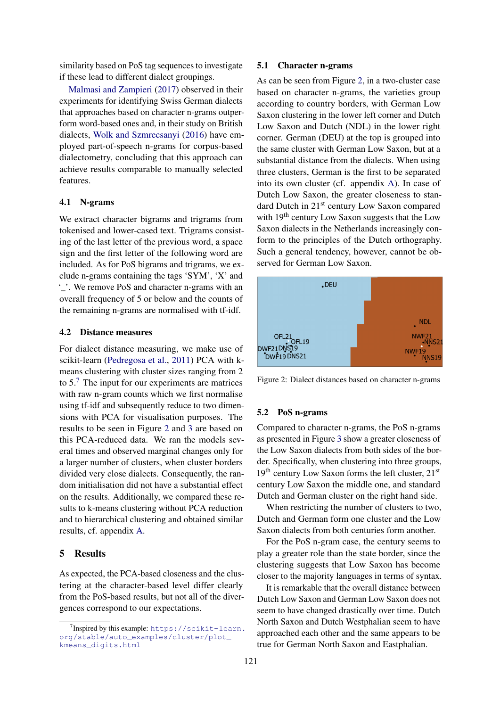similarity based on PoS tag sequences to investigate if these lead to different dialect groupings.

[Malmasi and Zampieri](#page-4-9) [\(2017\)](#page-4-9) observed in their experiments for identifying Swiss German dialects that approaches based on character n-grams outperform word-based ones and, in their study on British dialects, [Wolk and Szmrecsanyi](#page-5-4) [\(2016\)](#page-5-4) have employed part-of-speech n-grams for corpus-based dialectometry, concluding that this approach can achieve results comparable to manually selected features.

#### 4.1 N-grams

We extract character bigrams and trigrams from tokenised and lower-cased text. Trigrams consisting of the last letter of the previous word, a space sign and the first letter of the following word are included. As for PoS bigrams and trigrams, we exclude n-grams containing the tags 'SYM', 'X' and '\_'. We remove PoS and character n-grams with an overall frequency of 5 or below and the counts of the remaining n-grams are normalised with tf-idf.

#### 4.2 Distance measures

For dialect distance measuring, we make use of scikit-learn [\(Pedregosa et al.,](#page-4-10) [2011\)](#page-4-10) PCA with kmeans clustering with cluster sizes ranging from 2 to  $5<sup>7</sup>$  $5<sup>7</sup>$  $5<sup>7</sup>$ . The input for our experiments are matrices with raw n-gram counts which we first normalise using tf-idf and subsequently reduce to two dimensions with PCA for visualisation purposes. The results to be seen in Figure [2](#page-2-1) and [3](#page-3-0) are based on this PCA-reduced data. We ran the models several times and observed marginal changes only for a larger number of clusters, when cluster borders divided very close dialects. Consequently, the random initialisation did not have a substantial effect on the results. Additionally, we compared these results to k-means clustering without PCA reduction and to hierarchical clustering and obtained similar results, cf. appendix [A.](#page-5-5)

## 5 Results

As expected, the PCA-based closeness and the clustering at the character-based level differ clearly from the PoS-based results, but not all of the divergences correspond to our expectations.

#### 5.1 Character n-grams

As can be seen from Figure [2,](#page-2-1) in a two-cluster case based on character n-grams, the varieties group according to country borders, with German Low Saxon clustering in the lower left corner and Dutch Low Saxon and Dutch (NDL) in the lower right corner. German (DEU) at the top is grouped into the same cluster with German Low Saxon, but at a substantial distance from the dialects. When using three clusters, German is the first to be separated into its own cluster (cf. appendix [A\)](#page-5-5). In case of Dutch Low Saxon, the greater closeness to standard Dutch in 21st century Low Saxon compared with 19<sup>th</sup> century Low Saxon suggests that the Low Saxon dialects in the Netherlands increasingly conform to the principles of the Dutch orthography. Such a general tendency, however, cannot be observed for German Low Saxon.

<span id="page-2-1"></span>

Figure 2: Dialect distances based on character n-grams

## 5.2 PoS n-grams

Compared to character n-grams, the PoS n-grams as presented in Figure [3](#page-3-0) show a greater closeness of the Low Saxon dialects from both sides of the border. Specifically, when clustering into three groups,  $19<sup>th</sup>$  century Low Saxon forms the left cluster,  $21<sup>st</sup>$ century Low Saxon the middle one, and standard Dutch and German cluster on the right hand side.

When restricting the number of clusters to two, Dutch and German form one cluster and the Low Saxon dialects from both centuries form another.

For the PoS n-gram case, the century seems to play a greater role than the state border, since the clustering suggests that Low Saxon has become closer to the majority languages in terms of syntax.

It is remarkable that the overall distance between Dutch Low Saxon and German Low Saxon does not seem to have changed drastically over time. Dutch North Saxon and Dutch Westphalian seem to have approached each other and the same appears to be true for German North Saxon and Eastphalian.

<span id="page-2-0"></span><sup>&</sup>lt;sup>7</sup>Inspired by this example: [https://scikit-learn.](https://scikit-learn.org/stable/auto_examples/cluster/plot_kmeans_digits.html) [org/stable/auto\\_examples/cluster/plot\\_](https://scikit-learn.org/stable/auto_examples/cluster/plot_kmeans_digits.html) [kmeans\\_digits.html](https://scikit-learn.org/stable/auto_examples/cluster/plot_kmeans_digits.html)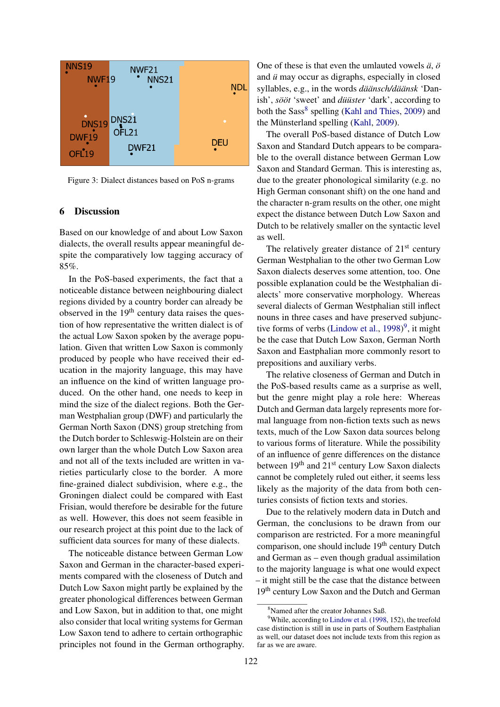<span id="page-3-0"></span>

Figure 3: Dialect distances based on PoS n-grams

## 6 Discussion

Based on our knowledge of and about Low Saxon dialects, the overall results appear meaningful despite the comparatively low tagging accuracy of 85%.

In the PoS-based experiments, the fact that a noticeable distance between neighbouring dialect regions divided by a country border can already be observed in the  $19<sup>th</sup>$  century data raises the question of how representative the written dialect is of the actual Low Saxon spoken by the average population. Given that written Low Saxon is commonly produced by people who have received their education in the majority language, this may have an influence on the kind of written language produced. On the other hand, one needs to keep in mind the size of the dialect regions. Both the German Westphalian group (DWF) and particularly the German North Saxon (DNS) group stretching from the Dutch border to Schleswig-Holstein are on their own larger than the whole Dutch Low Saxon area and not all of the texts included are written in varieties particularly close to the border. A more fine-grained dialect subdivision, where e.g., the Groningen dialect could be compared with East Frisian, would therefore be desirable for the future as well. However, this does not seem feasible in our research project at this point due to the lack of sufficient data sources for many of these dialects.

The noticeable distance between German Low Saxon and German in the character-based experiments compared with the closeness of Dutch and Dutch Low Saxon might partly be explained by the greater phonological differences between German and Low Saxon, but in addition to that, one might also consider that local writing systems for German Low Saxon tend to adhere to certain orthographic principles not found in the German orthography.

One of these is that even the umlauted vowels *ä*, *ö* and *ü* may occur as digraphs, especially in closed syllables, e.g., in the words *däänsch/däänsk* 'Danish', *sööt* 'sweet' and *düüster* 'dark', according to both the Sass<sup>[8](#page-3-1)</sup> spelling [\(Kahl and Thies,](#page-4-11) [2009\)](#page-4-11) and the Münsterland spelling [\(Kahl,](#page-4-12) [2009\)](#page-4-12).

The overall PoS-based distance of Dutch Low Saxon and Standard Dutch appears to be comparable to the overall distance between German Low Saxon and Standard German. This is interesting as, due to the greater phonological similarity (e.g. no High German consonant shift) on the one hand and the character n-gram results on the other, one might expect the distance between Dutch Low Saxon and Dutch to be relatively smaller on the syntactic level as well.

The relatively greater distance of  $21<sup>st</sup>$  century German Westphalian to the other two German Low Saxon dialects deserves some attention, too. One possible explanation could be the Westphalian dialects' more conservative morphology. Whereas several dialects of German Westphalian still inflect nouns in three cases and have preserved subjunc-tive forms of verbs [\(Lindow et al.,](#page-4-13)  $1998$  $1998$  $1998$ )<sup>9</sup>, it might be the case that Dutch Low Saxon, German North Saxon and Eastphalian more commonly resort to prepositions and auxiliary verbs.

The relative closeness of German and Dutch in the PoS-based results came as a surprise as well, but the genre might play a role here: Whereas Dutch and German data largely represents more formal language from non-fiction texts such as news texts, much of the Low Saxon data sources belong to various forms of literature. While the possibility of an influence of genre differences on the distance between 19<sup>th</sup> and 21<sup>st</sup> century Low Saxon dialects cannot be completely ruled out either, it seems less likely as the majority of the data from both centuries consists of fiction texts and stories.

Due to the relatively modern data in Dutch and German, the conclusions to be drawn from our comparison are restricted. For a more meaningful comparison, one should include 19<sup>th</sup> century Dutch and German as – even though gradual assimilation to the majority language is what one would expect – it might still be the case that the distance between 19th century Low Saxon and the Dutch and German

<span id="page-3-2"></span><span id="page-3-1"></span><sup>8</sup>Named after the creator Johannes Saß.

<sup>&</sup>lt;sup>9</sup>While, according to [Lindow et al.](#page-4-13) [\(1998,](#page-4-13) 152), the treefold case distinction is still in use in parts of Southern Eastphalian as well, our dataset does not include texts from this region as far as we are aware.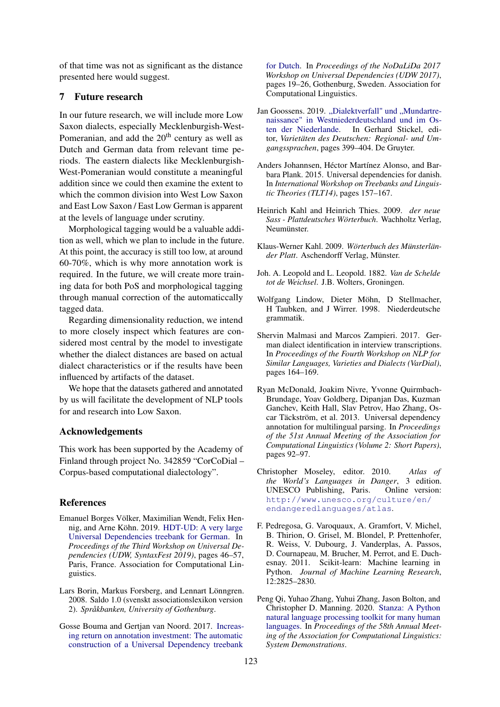of that time was not as significant as the distance presented here would suggest.

## 7 Future research

In our future research, we will include more Low Saxon dialects, especially Mecklenburgish-West-Pomeranian, and add the  $20<sup>th</sup>$  century as well as Dutch and German data from relevant time periods. The eastern dialects like Mecklenburgish-West-Pomeranian would constitute a meaningful addition since we could then examine the extent to which the common division into West Low Saxon and East Low Saxon / East Low German is apparent at the levels of language under scrutiny.

Morphological tagging would be a valuable addition as well, which we plan to include in the future. At this point, the accuracy is still too low, at around 60-70%, which is why more annotation work is required. In the future, we will create more training data for both PoS and morphological tagging through manual correction of the automaticcally tagged data.

Regarding dimensionality reduction, we intend to more closely inspect which features are considered most central by the model to investigate whether the dialect distances are based on actual dialect characteristics or if the results have been influenced by artifacts of the dataset.

We hope that the datasets gathered and annotated by us will facilitate the development of NLP tools for and research into Low Saxon.

## Acknowledgements

This work has been supported by the Academy of Finland through project No. 342859 "CorCoDial – Corpus-based computational dialectology".

## References

- <span id="page-4-3"></span>Emanuel Borges Völker, Maximilian Wendt, Felix Hennig, and Arne Köhn. 2019. [HDT-UD: A very large](https://doi.org/10.18653/v1/W19-8006) [Universal Dependencies treebank for German.](https://doi.org/10.18653/v1/W19-8006) In *Proceedings of the Third Workshop on Universal Dependencies (UDW, SyntaxFest 2019)*, pages 46–57, Paris, France. Association for Computational Linguistics.
- <span id="page-4-8"></span>Lars Borin, Markus Forsberg, and Lennart Lönngren. 2008. Saldo 1.0 (svenskt associationslexikon version 2). *Språkbanken, University of Gothenburg*.
- <span id="page-4-4"></span>Gosse Bouma and Gertjan van Noord. 2017. [Increas](https://aclanthology.org/W17-0403)[ing return on annotation investment: The automatic](https://aclanthology.org/W17-0403) [construction of a Universal Dependency treebank](https://aclanthology.org/W17-0403)

[for Dutch.](https://aclanthology.org/W17-0403) In *Proceedings of the NoDaLiDa 2017 Workshop on Universal Dependencies (UDW 2017)*, pages 19–26, Gothenburg, Sweden. Association for Computational Linguistics.

- <span id="page-4-0"></span>Jan Goossens. 2019. ["Dialektverfall" und "Mundartre](https://doi.org/doi:10.1515/9783110622560-023)[naissance" in Westniederdeutschland und im Os](https://doi.org/doi:10.1515/9783110622560-023)[ten der Niederlande.](https://doi.org/doi:10.1515/9783110622560-023) In Gerhard Stickel, editor, *Varietäten des Deutschen: Regional- und Umgangssprachen*, pages 399–404. De Gruyter.
- <span id="page-4-6"></span>Anders Johannsen, Héctor Martínez Alonso, and Barbara Plank. 2015. Universal dependencies for danish. In *International Workshop on Treebanks and Linguistic Theories (TLT14)*, pages 157–167.
- <span id="page-4-11"></span>Heinrich Kahl and Heinrich Thies. 2009. *der neue Sass - Plattdeutsches Wörterbuch*. Wachholtz Verlag, Neumünster.
- <span id="page-4-12"></span>Klaus-Werner Kahl. 2009. *Wörterbuch des Münsterländer Platt*. Aschendorff Verlag, Münster.
- <span id="page-4-2"></span>Joh. A. Leopold and L. Leopold. 1882. *Van de Schelde tot de Weichsel*. J.B. Wolters, Groningen.
- <span id="page-4-13"></span>Wolfgang Lindow, Dieter Möhn, D Stellmacher, H Taubken, and J Wirrer. 1998. Niederdeutsche grammatik.
- <span id="page-4-9"></span>Shervin Malmasi and Marcos Zampieri. 2017. German dialect identification in interview transcriptions. In *Proceedings of the Fourth Workshop on NLP for Similar Languages, Varieties and Dialects (VarDial)*, pages 164–169.
- <span id="page-4-7"></span>Ryan McDonald, Joakim Nivre, Yvonne Quirmbach-Brundage, Yoav Goldberg, Dipanjan Das, Kuzman Ganchev, Keith Hall, Slav Petrov, Hao Zhang, Oscar Täckström, et al. 2013. Universal dependency annotation for multilingual parsing. In *Proceedings of the 51st Annual Meeting of the Association for Computational Linguistics (Volume 2: Short Papers)*, pages 92–97.
- <span id="page-4-1"></span>Christopher Moseley, editor. 2010. *Atlas of the World's Languages in Danger*, 3 edition. UNESCO Publishing, Paris. Online version: [http://www.unesco.org/culture/en/](http://www.unesco.org/culture/en/endangeredlanguages/atlas) [endangeredlanguages/atlas](http://www.unesco.org/culture/en/endangeredlanguages/atlas).
- <span id="page-4-10"></span>F. Pedregosa, G. Varoquaux, A. Gramfort, V. Michel, B. Thirion, O. Grisel, M. Blondel, P. Prettenhofer, R. Weiss, V. Dubourg, J. Vanderplas, A. Passos, D. Cournapeau, M. Brucher, M. Perrot, and E. Duchesnay. 2011. Scikit-learn: Machine learning in Python. *Journal of Machine Learning Research*, 12:2825–2830.
- <span id="page-4-5"></span>Peng Qi, Yuhao Zhang, Yuhui Zhang, Jason Bolton, and Christopher D. Manning. 2020. [Stanza: A Python](https://nlp.stanford.edu/pubs/qi2020stanza.pdf) [natural language processing toolkit for many human](https://nlp.stanford.edu/pubs/qi2020stanza.pdf) [languages.](https://nlp.stanford.edu/pubs/qi2020stanza.pdf) In *Proceedings of the 58th Annual Meeting of the Association for Computational Linguistics: System Demonstrations*.